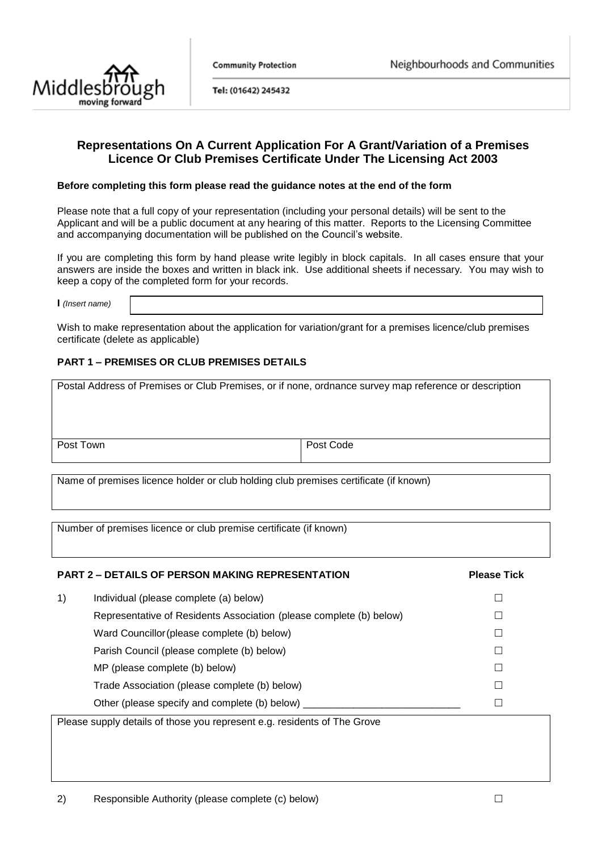



Tel: (01642) 245432

### **Representations On A Current Application For A Grant/Variation of a Premises Licence Or Club Premises Certificate Under The Licensing Act 2003**

#### **Before completing this form please read the guidance notes at the end of the form**

Please note that a full copy of your representation (including your personal details) will be sent to the Applicant and will be a public document at any hearing of this matter. Reports to the Licensing Committee and accompanying documentation will be published on the Council's website.

If you are completing this form by hand please write legibly in block capitals. In all cases ensure that your answers are inside the boxes and written in black ink. Use additional sheets if necessary. You may wish to keep a copy of the completed form for your records.

**I** *(Insert name)*

Wish to make representation about the application for variation/grant for a premises licence/club premises certificate (delete as applicable)

#### **PART 1 – PREMISES OR CLUB PREMISES DETAILS**

| Postal Address of Premises or Club Premises, or if none, ordnance survey map reference or description |           |  |  |
|-------------------------------------------------------------------------------------------------------|-----------|--|--|
| Post Town                                                                                             | Post Code |  |  |
|                                                                                                       |           |  |  |

Name of premises licence holder or club holding club premises certificate (if known)

Number of premises licence or club premise certificate (if known)

# **PART 2 – DETAILS OF PERSON MAKING REPRESENTATION Please Tick**

1) Individual (please complete (a) below) Individual  $\square$ 

Representative of Residents Association (please complete (b) below)  $\Box$ Ward Councillor (please complete (b) below)  $\Box$ Parish Council (please complete (b) below)  $MP$  (please complete (b) below)  $\Box$ Trade Association (please complete (b) below) Trade Association (please complete (b) below) Other (please specify and complete (b) below)  $\Box$ 

Please supply details of those you represent e.g. residents of The Grove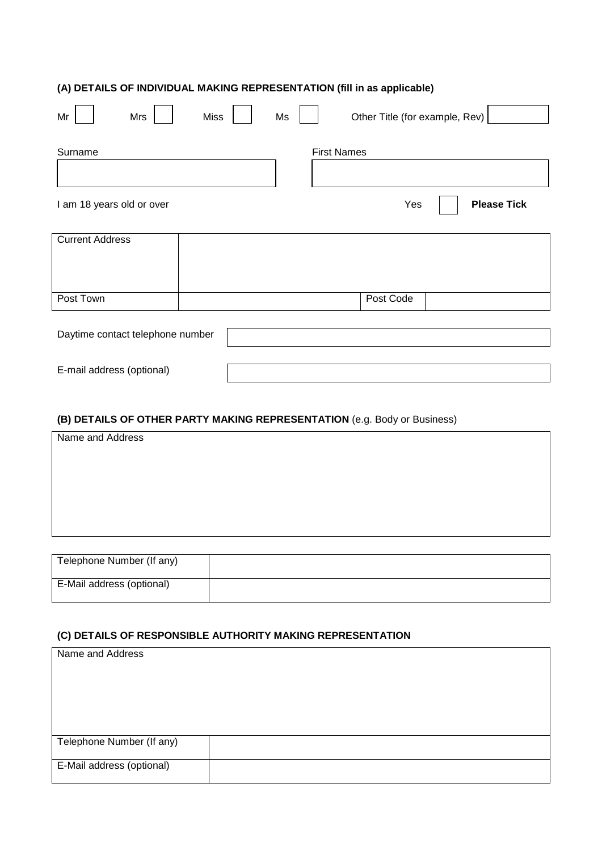# **(A) DETAILS OF INDIVIDUAL MAKING REPRESENTATION (fill in as applicable)**

| Mrs<br>Mr                        | <b>Miss</b> | Ms                 | Other Title (for example, Rev) |
|----------------------------------|-------------|--------------------|--------------------------------|
| Surname                          |             | <b>First Names</b> |                                |
| I am 18 years old or over        |             |                    | <b>Please Tick</b><br>Yes      |
| <b>Current Address</b>           |             |                    |                                |
| Post Town                        |             |                    | Post Code                      |
| Daytime contact telephone number |             |                    |                                |
| E-mail address (optional)        |             |                    |                                |

# **(B) DETAILS OF OTHER PARTY MAKING REPRESENTATION** (e.g. Body or Business)

| Name and Address          |  |
|---------------------------|--|
|                           |  |
|                           |  |
|                           |  |
|                           |  |
|                           |  |
|                           |  |
|                           |  |
| Telephone Number (If any) |  |

| Telephone Number (if any) |  |
|---------------------------|--|
| E-Mail address (optional) |  |

#### **(C) DETAILS OF RESPONSIBLE AUTHORITY MAKING REPRESENTATION**

| Name and Address          |  |
|---------------------------|--|
|                           |  |
|                           |  |
|                           |  |
|                           |  |
|                           |  |
| Telephone Number (If any) |  |
|                           |  |
| E-Mail address (optional) |  |
|                           |  |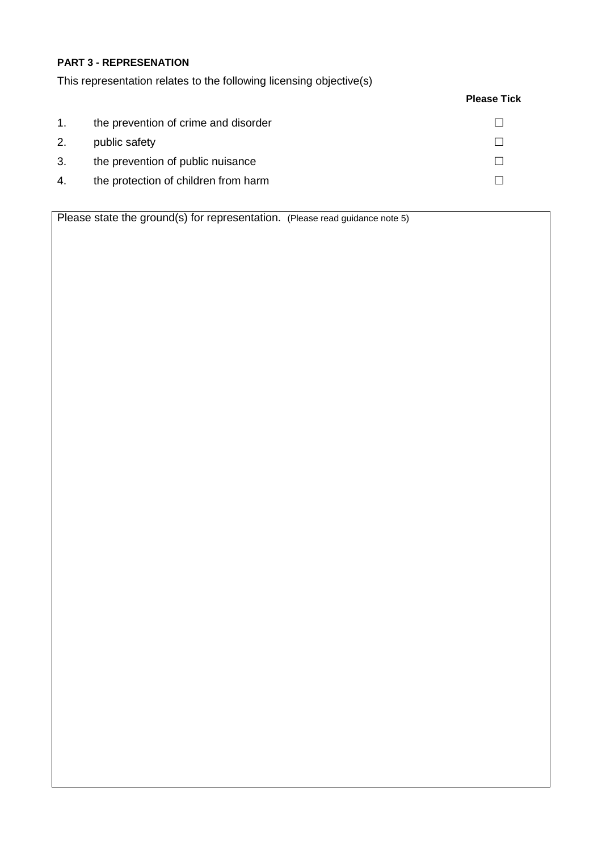### **PART 3 - REPRESENATION**

This representation relates to the following licensing objective(s)

### **Please Tick**

| 1. | the prevention of crime and disorder |  |
|----|--------------------------------------|--|
| 2. | public safety                        |  |
| 3. | the prevention of public nuisance    |  |
| 4. | the protection of children from harm |  |

Please state the ground(s) for representation. (Please read guidance note 5)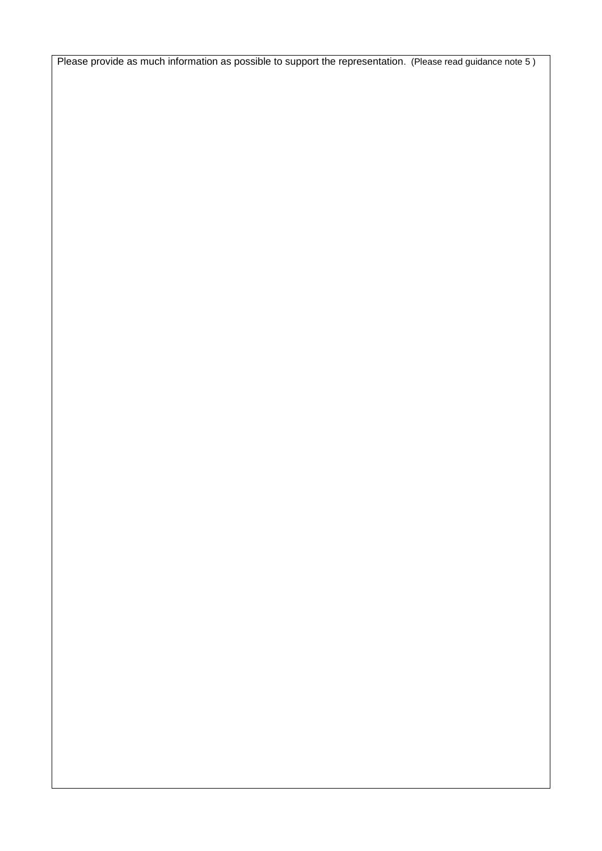Please provide as much information as possible to support the representation. (Please read guidance note 5 )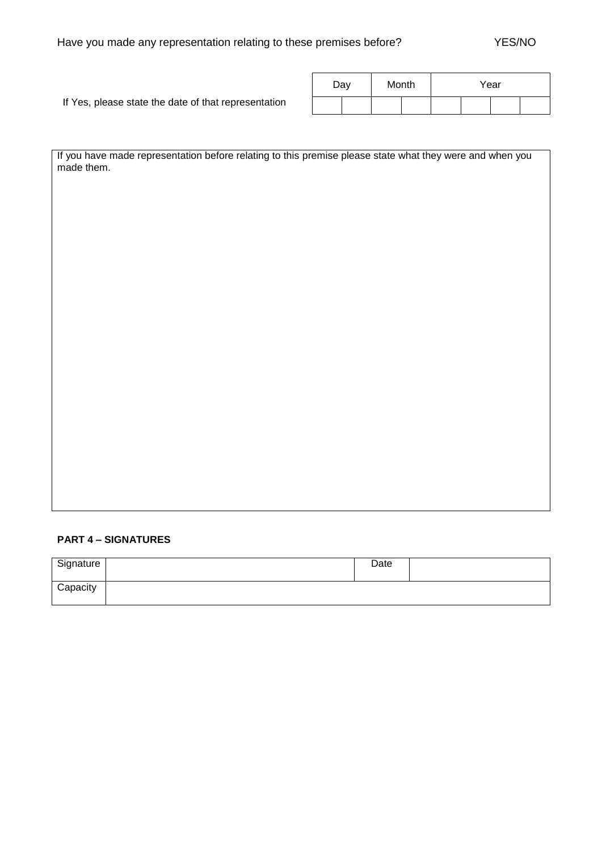If Yes, please state the date of that representation

| Day |  | Month |  | Year |  |  |  |
|-----|--|-------|--|------|--|--|--|
|     |  |       |  |      |  |  |  |

If you have made representation before relating to this premise please state what they were and when you made them.

#### **PART 4 – SIGNATURES**

| Signature | Date |  |
|-----------|------|--|
| Capacity  |      |  |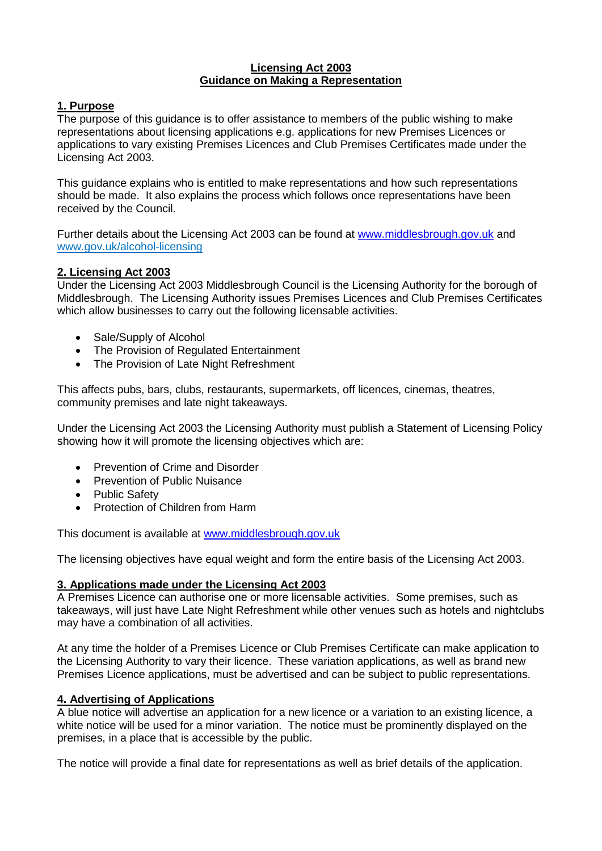#### **Licensing Act 2003 Guidance on Making a Representation**

### **1. Purpose**

The purpose of this guidance is to offer assistance to members of the public wishing to make representations about licensing applications e.g. applications for new Premises Licences or applications to vary existing Premises Licences and Club Premises Certificates made under the Licensing Act 2003.

This guidance explains who is entitled to make representations and how such representations should be made. It also explains the process which follows once representations have been received by the Council.

Further details about the Licensing Act 2003 can be found at [www.middlesbrough.gov.uk](http://www.middlesbrough.gov.uk/) and www.gov.uk/alcohol-licensing

### **2. Licensing Act 2003**

Under the Licensing Act 2003 Middlesbrough Council is the Licensing Authority for the borough of Middlesbrough. The Licensing Authority issues Premises Licences and Club Premises Certificates which allow businesses to carry out the following licensable activities.

- Sale/Supply of Alcohol
- The Provision of Regulated Entertainment
- The Provision of Late Night Refreshment

This affects pubs, bars, clubs, restaurants, supermarkets, off licences, cinemas, theatres, community premises and late night takeaways.

Under the Licensing Act 2003 the Licensing Authority must publish a Statement of Licensing Policy showing how it will promote the licensing objectives which are:

- Prevention of Crime and Disorder
- Prevention of Public Nuisance
- **•** Public Safety
- Protection of Children from Harm

This document is available at [www.middlesbrough.gov.uk](http://www.middlesbrough.gov.uk/)

The licensing objectives have equal weight and form the entire basis of the Licensing Act 2003.

### **3. Applications made under the Licensing Act 2003**

A Premises Licence can authorise one or more licensable activities. Some premises, such as takeaways, will just have Late Night Refreshment while other venues such as hotels and nightclubs may have a combination of all activities.

At any time the holder of a Premises Licence or Club Premises Certificate can make application to the Licensing Authority to vary their licence. These variation applications, as well as brand new Premises Licence applications, must be advertised and can be subject to public representations.

### **4. Advertising of Applications**

A blue notice will advertise an application for a new licence or a variation to an existing licence, a white notice will be used for a minor variation. The notice must be prominently displayed on the premises, in a place that is accessible by the public.

The notice will provide a final date for representations as well as brief details of the application.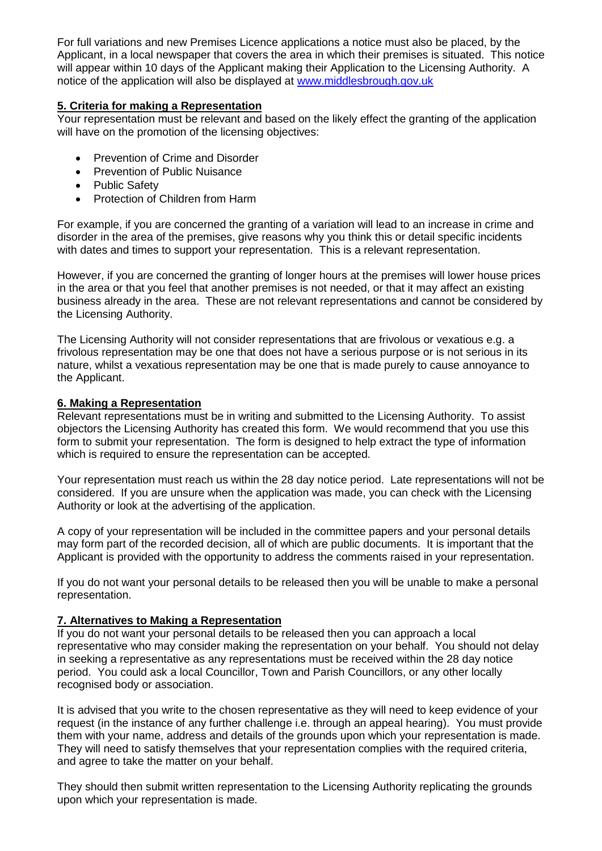For full variations and new Premises Licence applications a notice must also be placed, by the Applicant, in a local newspaper that covers the area in which their premises is situated. This notice will appear within 10 days of the Applicant making their Application to the Licensing Authority. A notice of the application will also be displayed at [www.middlesbrough.gov.uk](http://www.middlesbrough.gov.uk/)

### **5. Criteria for making a Representation**

Your representation must be relevant and based on the likely effect the granting of the application will have on the promotion of the licensing objectives:

- Prevention of Crime and Disorder
- Prevention of Public Nuisance
- Public Safety
- Protection of Children from Harm

For example, if you are concerned the granting of a variation will lead to an increase in crime and disorder in the area of the premises, give reasons why you think this or detail specific incidents with dates and times to support your representation. This is a relevant representation.

However, if you are concerned the granting of longer hours at the premises will lower house prices in the area or that you feel that another premises is not needed, or that it may affect an existing business already in the area. These are not relevant representations and cannot be considered by the Licensing Authority.

The Licensing Authority will not consider representations that are frivolous or vexatious e.g. a frivolous representation may be one that does not have a serious purpose or is not serious in its nature, whilst a vexatious representation may be one that is made purely to cause annoyance to the Applicant.

### **6. Making a Representation**

Relevant representations must be in writing and submitted to the Licensing Authority. To assist objectors the Licensing Authority has created this form. We would recommend that you use this form to submit your representation. The form is designed to help extract the type of information which is required to ensure the representation can be accepted.

Your representation must reach us within the 28 day notice period. Late representations will not be considered. If you are unsure when the application was made, you can check with the Licensing Authority or look at the advertising of the application.

A copy of your representation will be included in the committee papers and your personal details may form part of the recorded decision, all of which are public documents. It is important that the Applicant is provided with the opportunity to address the comments raised in your representation.

If you do not want your personal details to be released then you will be unable to make a personal representation.

### **7. Alternatives to Making a Representation**

If you do not want your personal details to be released then you can approach a local representative who may consider making the representation on your behalf. You should not delay in seeking a representative as any representations must be received within the 28 day notice period. You could ask a local Councillor, Town and Parish Councillors, or any other locally recognised body or association.

It is advised that you write to the chosen representative as they will need to keep evidence of your request (in the instance of any further challenge i.e. through an appeal hearing). You must provide them with your name, address and details of the grounds upon which your representation is made. They will need to satisfy themselves that your representation complies with the required criteria, and agree to take the matter on your behalf.

They should then submit written representation to the Licensing Authority replicating the grounds upon which your representation is made.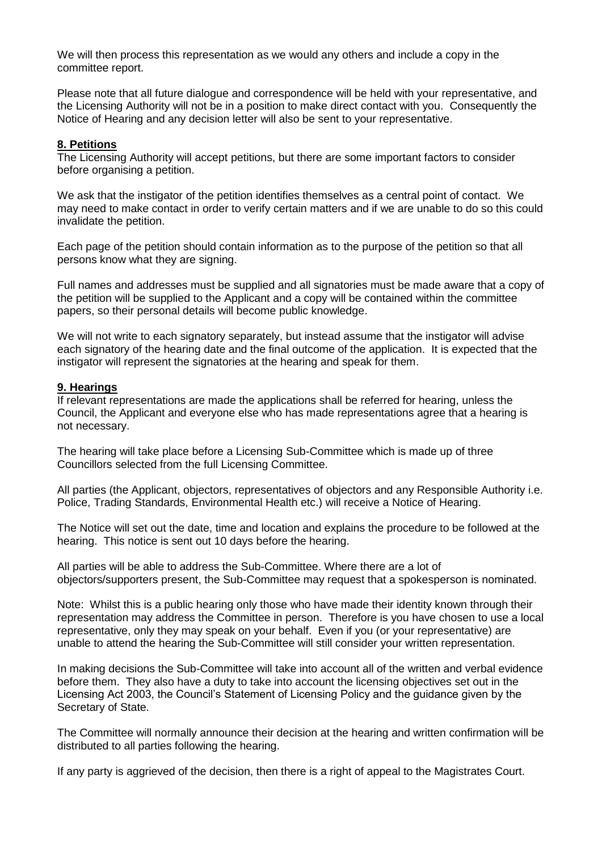We will then process this representation as we would any others and include a copy in the committee report.

Please note that all future dialogue and correspondence will be held with your representative, and the Licensing Authority will not be in a position to make direct contact with you. Consequently the Notice of Hearing and any decision letter will also be sent to your representative.

#### **8. Petitions**

The Licensing Authority will accept petitions, but there are some important factors to consider before organising a petition.

We ask that the instigator of the petition identifies themselves as a central point of contact. We may need to make contact in order to verify certain matters and if we are unable to do so this could invalidate the petition.

Each page of the petition should contain information as to the purpose of the petition so that all persons know what they are signing.

Full names and addresses must be supplied and all signatories must be made aware that a copy of the petition will be supplied to the Applicant and a copy will be contained within the committee papers, so their personal details will become public knowledge.

We will not write to each signatory separately, but instead assume that the instigator will advise each signatory of the hearing date and the final outcome of the application. It is expected that the instigator will represent the signatories at the hearing and speak for them.

#### **9. Hearings**

If relevant representations are made the applications shall be referred for hearing, unless the Council, the Applicant and everyone else who has made representations agree that a hearing is not necessary.

The hearing will take place before a Licensing Sub-Committee which is made up of three Councillors selected from the full Licensing Committee.

All parties (the Applicant, objectors, representatives of objectors and any Responsible Authority i.e. Police, Trading Standards, Environmental Health etc.) will receive a Notice of Hearing.

The Notice will set out the date, time and location and explains the procedure to be followed at the hearing. This notice is sent out 10 days before the hearing.

All parties will be able to address the Sub-Committee. Where there are a lot of objectors/supporters present, the Sub-Committee may request that a spokesperson is nominated.

Note: Whilst this is a public hearing only those who have made their identity known through their representation may address the Committee in person. Therefore is you have chosen to use a local representative, only they may speak on your behalf. Even if you (or your representative) are unable to attend the hearing the Sub-Committee will still consider your written representation.

In making decisions the Sub-Committee will take into account all of the written and verbal evidence before them. They also have a duty to take into account the licensing objectives set out in the Licensing Act 2003, the Council's Statement of Licensing Policy and the guidance given by the Secretary of State.

The Committee will normally announce their decision at the hearing and written confirmation will be distributed to all parties following the hearing.

If any party is aggrieved of the decision, then there is a right of appeal to the Magistrates Court.